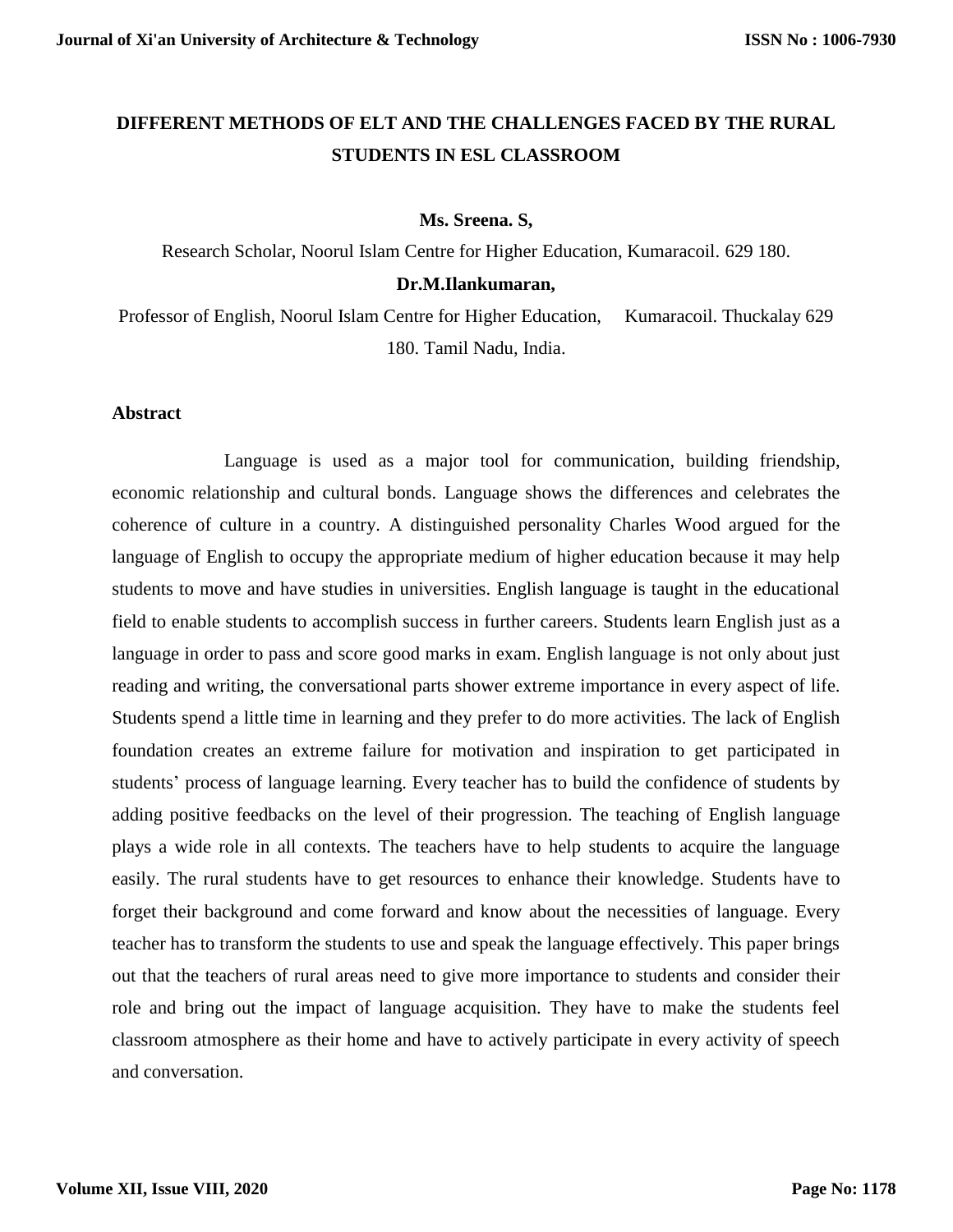# **DIFFERENT METHODS OF ELT AND THE CHALLENGES FACED BY THE RURAL STUDENTS IN ESL CLASSROOM**

## **Ms. Sreena. S,**

Research Scholar, Noorul Islam Centre for Higher Education, Kumaracoil. 629 180. **Dr.M.Ilankumaran,**

Professor of English, Noorul Islam Centre for Higher Education, Kumaracoil. Thuckalay 629 180. Tamil Nadu, India.

## **Abstract**

Language is used as a major tool for communication, building friendship, economic relationship and cultural bonds. Language shows the differences and celebrates the coherence of culture in a country. A distinguished personality Charles Wood argued for the language of English to occupy the appropriate medium of higher education because it may help students to move and have studies in universities. English language is taught in the educational field to enable students to accomplish success in further careers. Students learn English just as a language in order to pass and score good marks in exam. English language is not only about just reading and writing, the conversational parts shower extreme importance in every aspect of life. Students spend a little time in learning and they prefer to do more activities. The lack of English foundation creates an extreme failure for motivation and inspiration to get participated in students' process of language learning. Every teacher has to build the confidence of students by adding positive feedbacks on the level of their progression. The teaching of English language plays a wide role in all contexts. The teachers have to help students to acquire the language easily. The rural students have to get resources to enhance their knowledge. Students have to forget their background and come forward and know about the necessities of language. Every teacher has to transform the students to use and speak the language effectively. This paper brings out that the teachers of rural areas need to give more importance to students and consider their role and bring out the impact of language acquisition. They have to make the students feel classroom atmosphere as their home and have to actively participate in every activity of speech and conversation.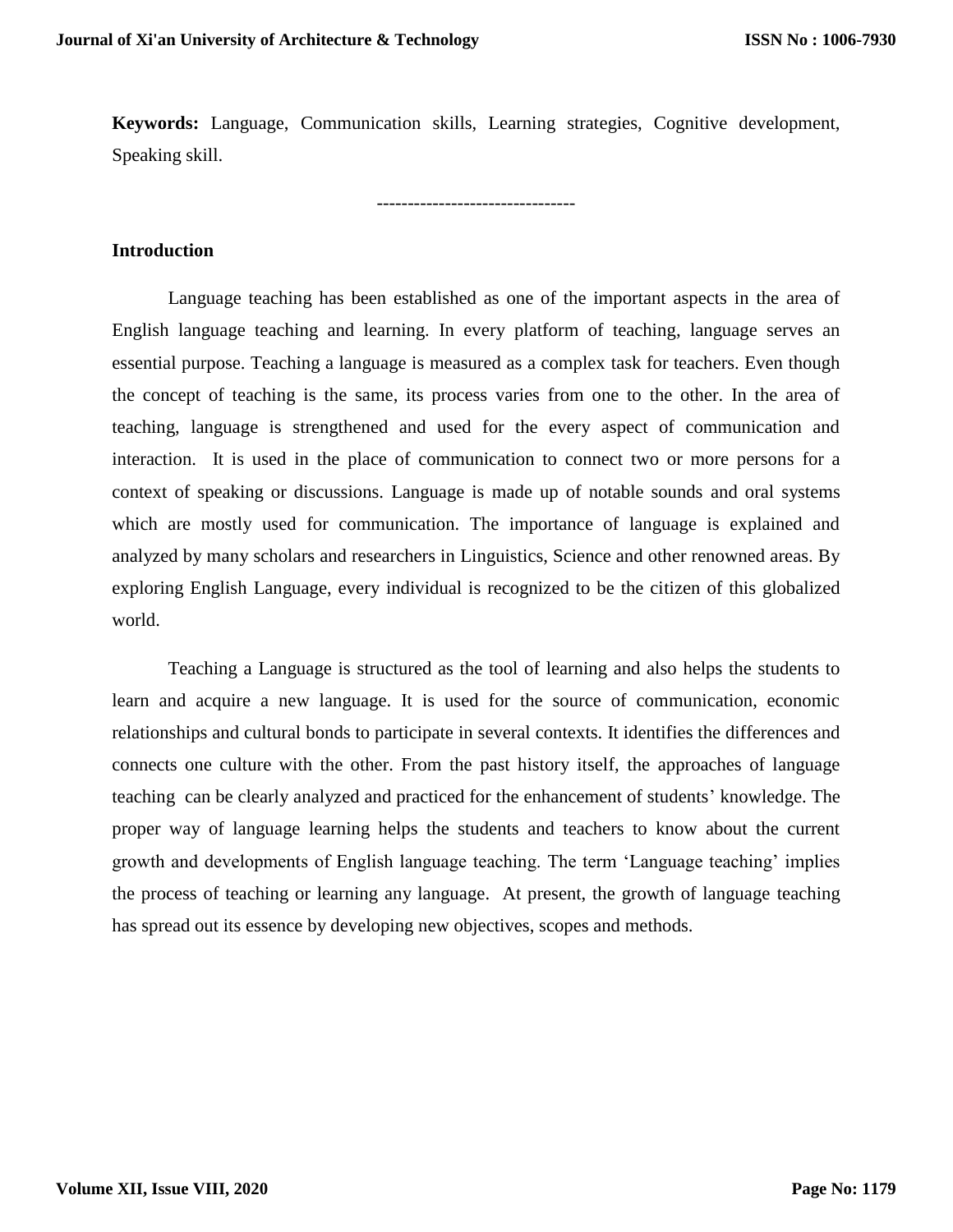**Keywords:** Language, Communication skills, Learning strategies, Cognitive development, Speaking skill.

--------------------------------

**Introduction**

Language teaching has been established as one of the important aspects in the area of English language teaching and learning. In every platform of teaching, language serves an essential purpose. Teaching a language is measured as a complex task for teachers. Even though the concept of teaching is the same, its process varies from one to the other. In the area of teaching, language is strengthened and used for the every aspect of communication and interaction. It is used in the place of communication to connect two or more persons for a context of speaking or discussions. Language is made up of notable sounds and oral systems which are mostly used for communication. The importance of language is explained and analyzed by many scholars and researchers in Linguistics, Science and other renowned areas. By exploring English Language, every individual is recognized to be the citizen of this globalized world.

Teaching a Language is structured as the tool of learning and also helps the students to learn and acquire a new language. It is used for the source of communication, economic relationships and cultural bonds to participate in several contexts. It identifies the differences and connects one culture with the other. From the past history itself, the approaches of language teaching can be clearly analyzed and practiced for the enhancement of students' knowledge. The proper way of language learning helps the students and teachers to know about the current growth and developments of English language teaching. The term 'Language teaching' implies the process of teaching or learning any language. At present, the growth of language teaching has spread out its essence by developing new objectives, scopes and methods.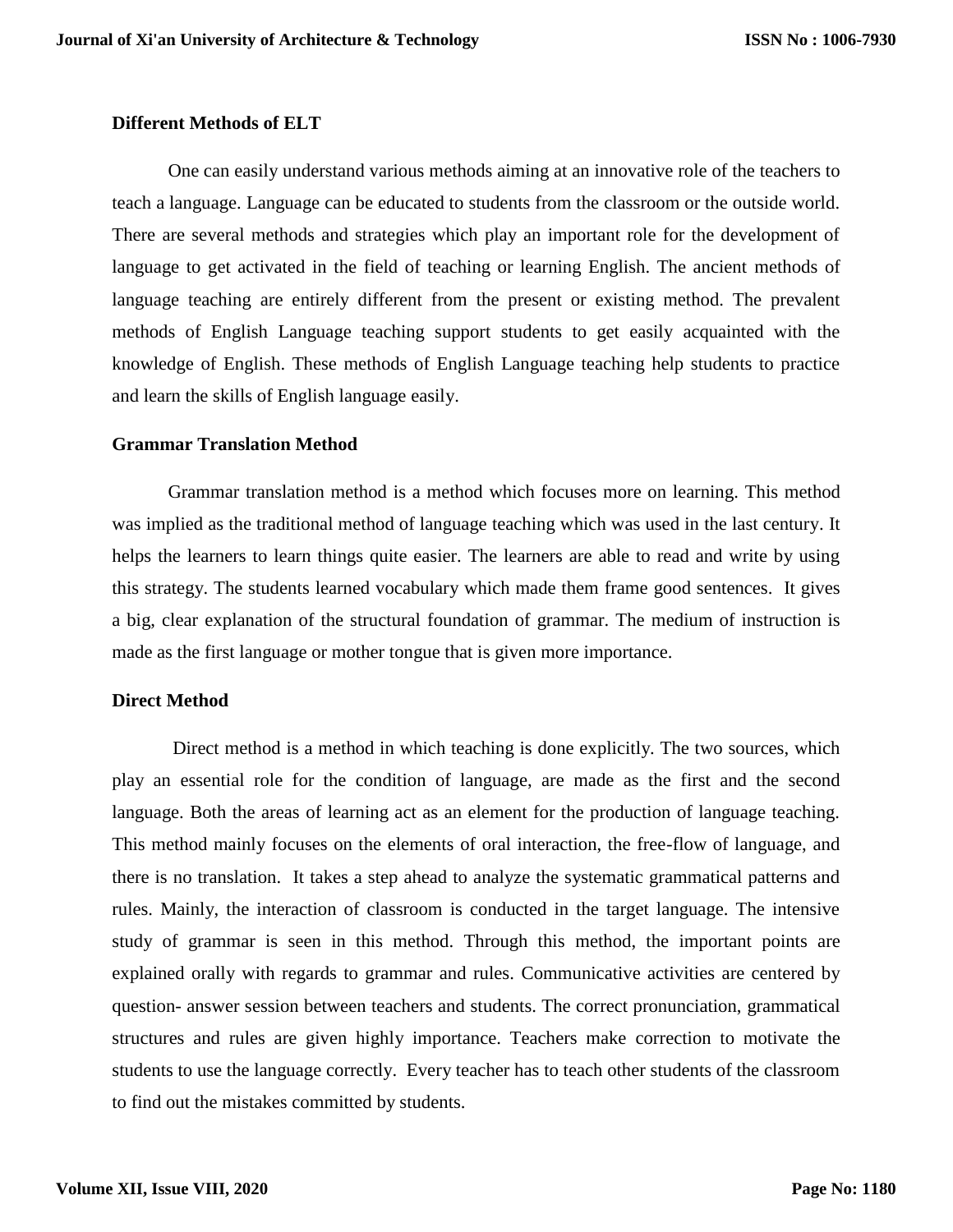## **Different Methods of ELT**

One can easily understand various methods aiming at an innovative role of the teachers to teach a language. Language can be educated to students from the classroom or the outside world. There are several methods and strategies which play an important role for the development of language to get activated in the field of teaching or learning English. The ancient methods of language teaching are entirely different from the present or existing method. The prevalent methods of English Language teaching support students to get easily acquainted with the knowledge of English. These methods of English Language teaching help students to practice and learn the skills of English language easily.

## **Grammar Translation Method**

Grammar translation method is a method which focuses more on learning. This method was implied as the traditional method of language teaching which was used in the last century. It helps the learners to learn things quite easier. The learners are able to read and write by using this strategy. The students learned vocabulary which made them frame good sentences. It gives a big, clear explanation of the structural foundation of grammar. The medium of instruction is made as the first language or mother tongue that is given more importance.

# **Direct Method**

Direct method is a method in which teaching is done explicitly. The two sources, which play an essential role for the condition of language, are made as the first and the second language. Both the areas of learning act as an element for the production of language teaching. This method mainly focuses on the elements of oral interaction, the free-flow of language, and there is no translation. It takes a step ahead to analyze the systematic grammatical patterns and rules. Mainly, the interaction of classroom is conducted in the target language. The intensive study of grammar is seen in this method. Through this method, the important points are explained orally with regards to grammar and rules. Communicative activities are centered by question- answer session between teachers and students. The correct pronunciation, grammatical structures and rules are given highly importance. Teachers make correction to motivate the students to use the language correctly. Every teacher has to teach other students of the classroom to find out the mistakes committed by students.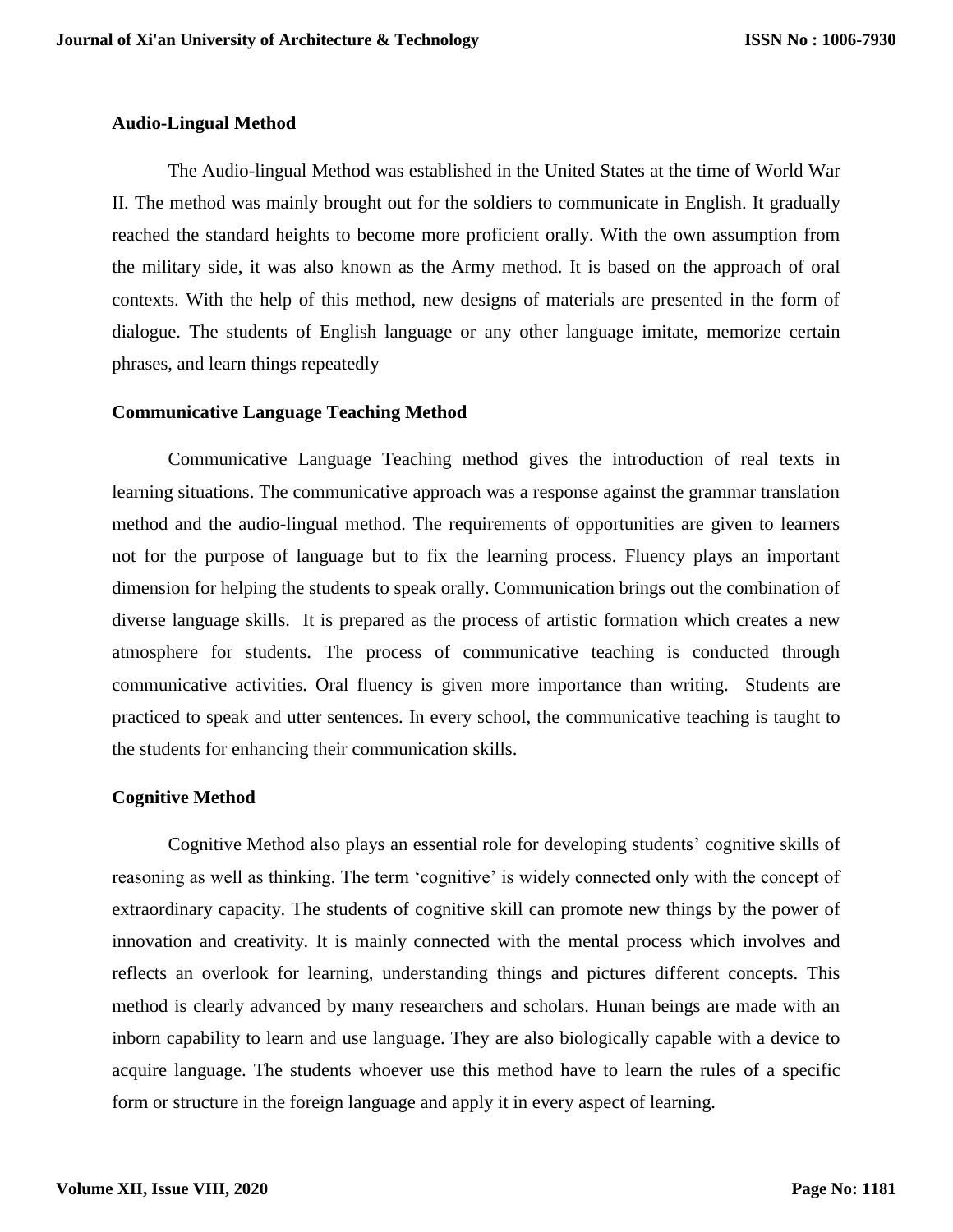#### **Audio-Lingual Method**

The Audio-lingual Method was established in the United States at the time of World War II. The method was mainly brought out for the soldiers to communicate in English. It gradually reached the standard heights to become more proficient orally. With the own assumption from the military side, it was also known as the Army method. It is based on the approach of oral contexts. With the help of this method, new designs of materials are presented in the form of dialogue. The students of English language or any other language imitate, memorize certain phrases, and learn things repeatedly

#### **Communicative Language Teaching Method**

Communicative Language Teaching method gives the introduction of real texts in learning situations. The communicative approach was a response against the grammar translation method and the audio-lingual method. The requirements of opportunities are given to learners not for the purpose of language but to fix the learning process. Fluency plays an important dimension for helping the students to speak orally. Communication brings out the combination of diverse language skills. It is prepared as the process of artistic formation which creates a new atmosphere for students. The process of communicative teaching is conducted through communicative activities. Oral fluency is given more importance than writing. Students are practiced to speak and utter sentences. In every school, the communicative teaching is taught to the students for enhancing their communication skills.

#### **Cognitive Method**

Cognitive Method also plays an essential role for developing students' cognitive skills of reasoning as well as thinking. The term 'cognitive' is widely connected only with the concept of extraordinary capacity. The students of cognitive skill can promote new things by the power of innovation and creativity. It is mainly connected with the mental process which involves and reflects an overlook for learning, understanding things and pictures different concepts. This method is clearly advanced by many researchers and scholars. Hunan beings are made with an inborn capability to learn and use language. They are also biologically capable with a device to acquire language. The students whoever use this method have to learn the rules of a specific form or structure in the foreign language and apply it in every aspect of learning.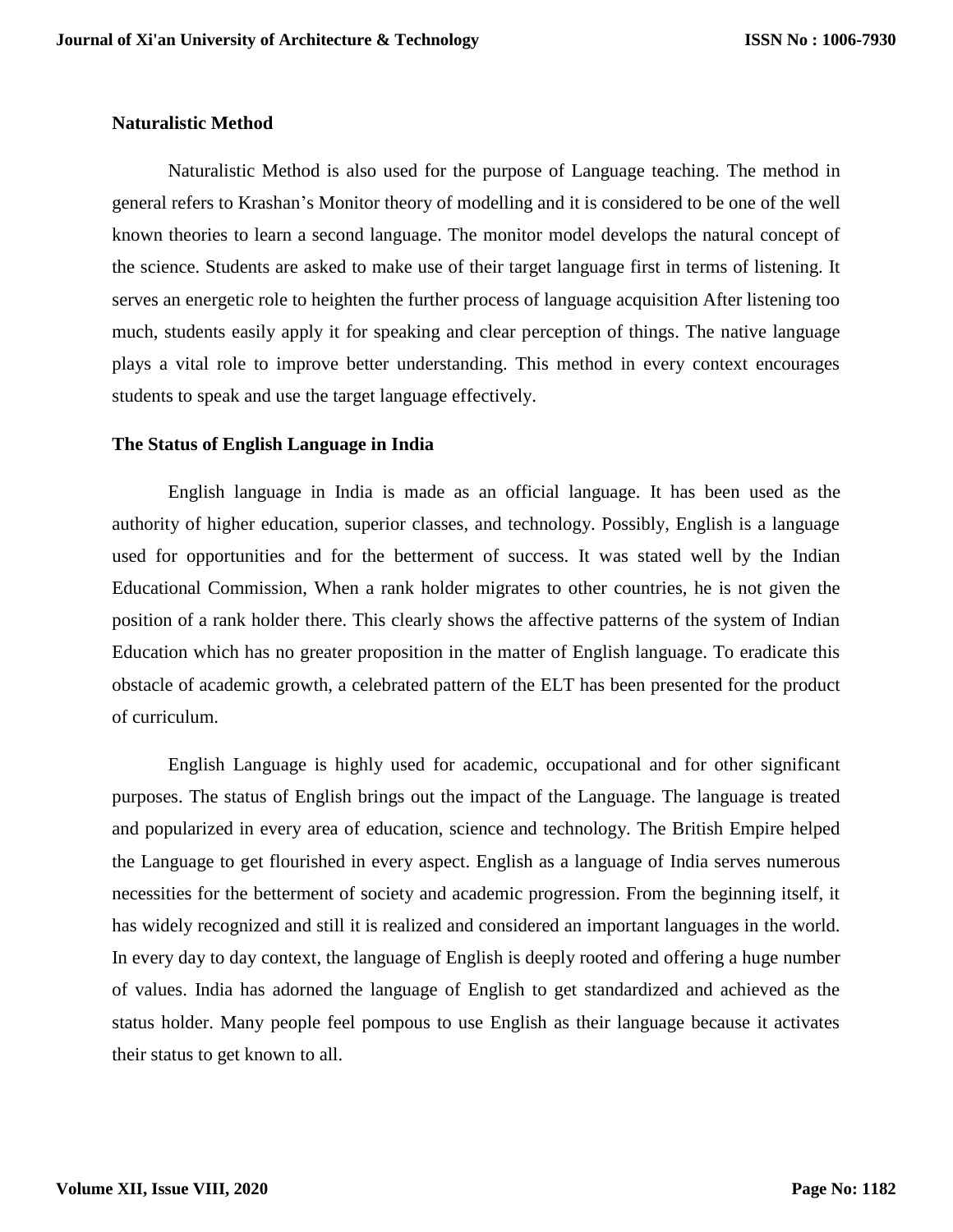## **Naturalistic Method**

Naturalistic Method is also used for the purpose of Language teaching. The method in general refers to Krashan's Monitor theory of modelling and it is considered to be one of the well known theories to learn a second language. The monitor model develops the natural concept of the science. Students are asked to make use of their target language first in terms of listening. It serves an energetic role to heighten the further process of language acquisition After listening too much, students easily apply it for speaking and clear perception of things. The native language plays a vital role to improve better understanding. This method in every context encourages students to speak and use the target language effectively.

## **The Status of English Language in India**

English language in India is made as an official language. It has been used as the authority of higher education, superior classes, and technology. Possibly, English is a language used for opportunities and for the betterment of success. It was stated well by the Indian Educational Commission, When a rank holder migrates to other countries, he is not given the position of a rank holder there. This clearly shows the affective patterns of the system of Indian Education which has no greater proposition in the matter of English language. To eradicate this obstacle of academic growth, a celebrated pattern of the ELT has been presented for the product of curriculum.

English Language is highly used for academic, occupational and for other significant purposes. The status of English brings out the impact of the Language. The language is treated and popularized in every area of education, science and technology. The British Empire helped the Language to get flourished in every aspect. English as a language of India serves numerous necessities for the betterment of society and academic progression. From the beginning itself, it has widely recognized and still it is realized and considered an important languages in the world. In every day to day context, the language of English is deeply rooted and offering a huge number of values. India has adorned the language of English to get standardized and achieved as the status holder. Many people feel pompous to use English as their language because it activates their status to get known to all.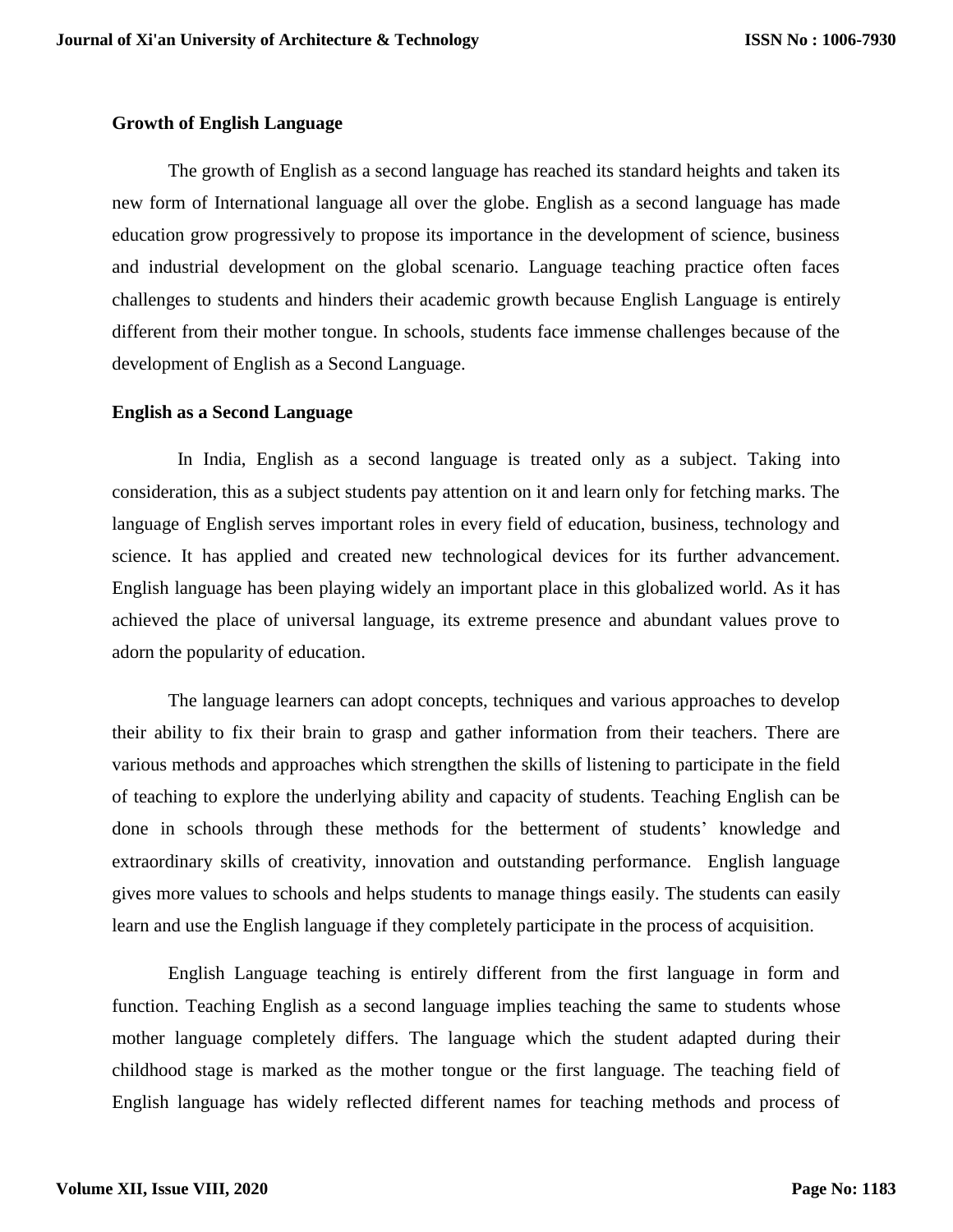## **Growth of English Language**

The growth of English as a second language has reached its standard heights and taken its new form of International language all over the globe. English as a second language has made education grow progressively to propose its importance in the development of science, business and industrial development on the global scenario. Language teaching practice often faces challenges to students and hinders their academic growth because English Language is entirely different from their mother tongue. In schools, students face immense challenges because of the development of English as a Second Language.

## **English as a Second Language**

 In India, English as a second language is treated only as a subject. Taking into consideration, this as a subject students pay attention on it and learn only for fetching marks. The language of English serves important roles in every field of education, business, technology and science. It has applied and created new technological devices for its further advancement. English language has been playing widely an important place in this globalized world. As it has achieved the place of universal language, its extreme presence and abundant values prove to adorn the popularity of education.

The language learners can adopt concepts, techniques and various approaches to develop their ability to fix their brain to grasp and gather information from their teachers. There are various methods and approaches which strengthen the skills of listening to participate in the field of teaching to explore the underlying ability and capacity of students. Teaching English can be done in schools through these methods for the betterment of students' knowledge and extraordinary skills of creativity, innovation and outstanding performance. English language gives more values to schools and helps students to manage things easily. The students can easily learn and use the English language if they completely participate in the process of acquisition.

English Language teaching is entirely different from the first language in form and function. Teaching English as a second language implies teaching the same to students whose mother language completely differs. The language which the student adapted during their childhood stage is marked as the mother tongue or the first language. The teaching field of English language has widely reflected different names for teaching methods and process of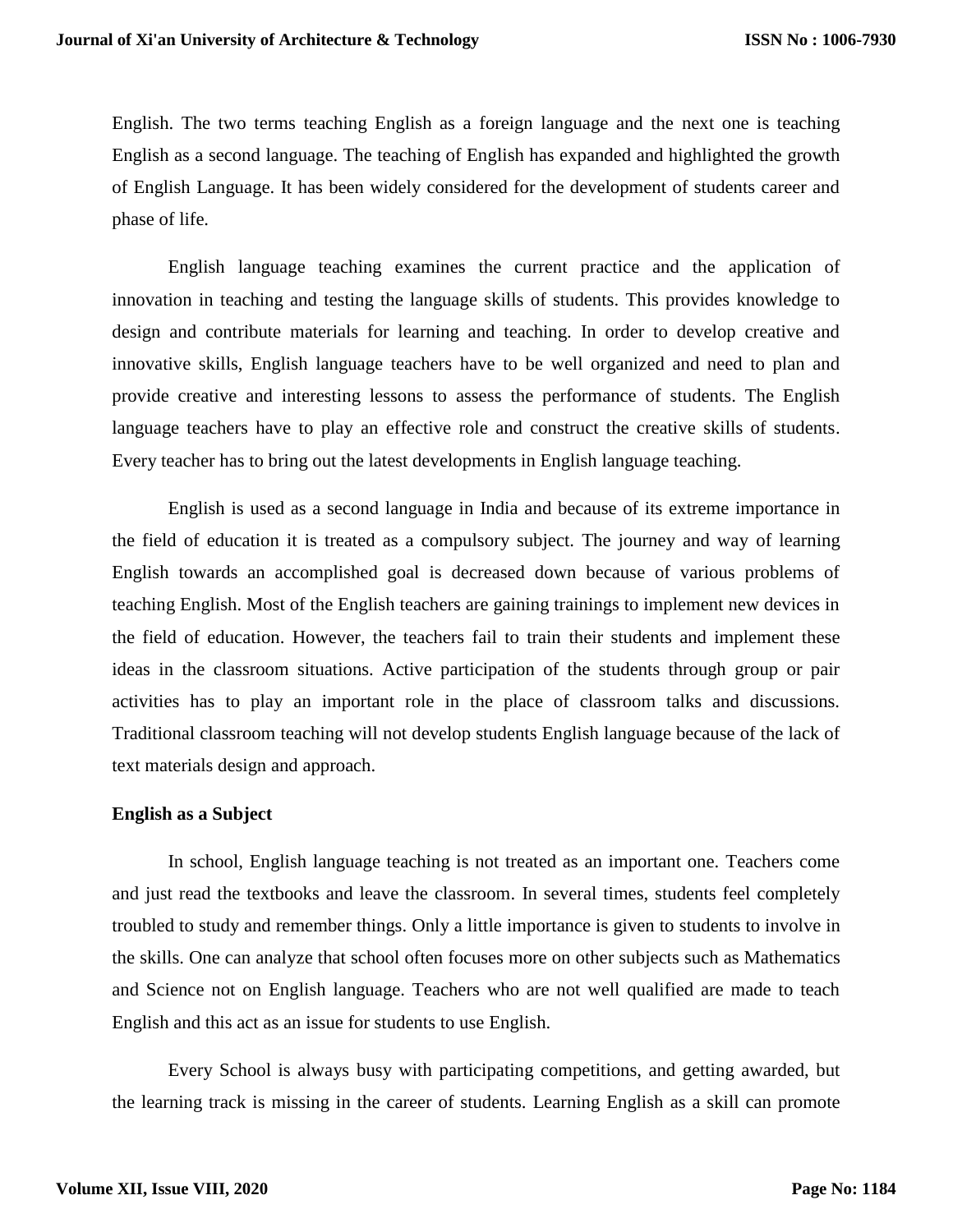English. The two terms teaching English as a foreign language and the next one is teaching English as a second language. The teaching of English has expanded and highlighted the growth of English Language. It has been widely considered for the development of students career and phase of life.

English language teaching examines the current practice and the application of innovation in teaching and testing the language skills of students. This provides knowledge to design and contribute materials for learning and teaching. In order to develop creative and innovative skills, English language teachers have to be well organized and need to plan and provide creative and interesting lessons to assess the performance of students. The English language teachers have to play an effective role and construct the creative skills of students. Every teacher has to bring out the latest developments in English language teaching.

English is used as a second language in India and because of its extreme importance in the field of education it is treated as a compulsory subject. The journey and way of learning English towards an accomplished goal is decreased down because of various problems of teaching English. Most of the English teachers are gaining trainings to implement new devices in the field of education. However, the teachers fail to train their students and implement these ideas in the classroom situations. Active participation of the students through group or pair activities has to play an important role in the place of classroom talks and discussions. Traditional classroom teaching will not develop students English language because of the lack of text materials design and approach.

#### **English as a Subject**

In school, English language teaching is not treated as an important one. Teachers come and just read the textbooks and leave the classroom. In several times, students feel completely troubled to study and remember things. Only a little importance is given to students to involve in the skills. One can analyze that school often focuses more on other subjects such as Mathematics and Science not on English language. Teachers who are not well qualified are made to teach English and this act as an issue for students to use English.

Every School is always busy with participating competitions, and getting awarded, but the learning track is missing in the career of students. Learning English as a skill can promote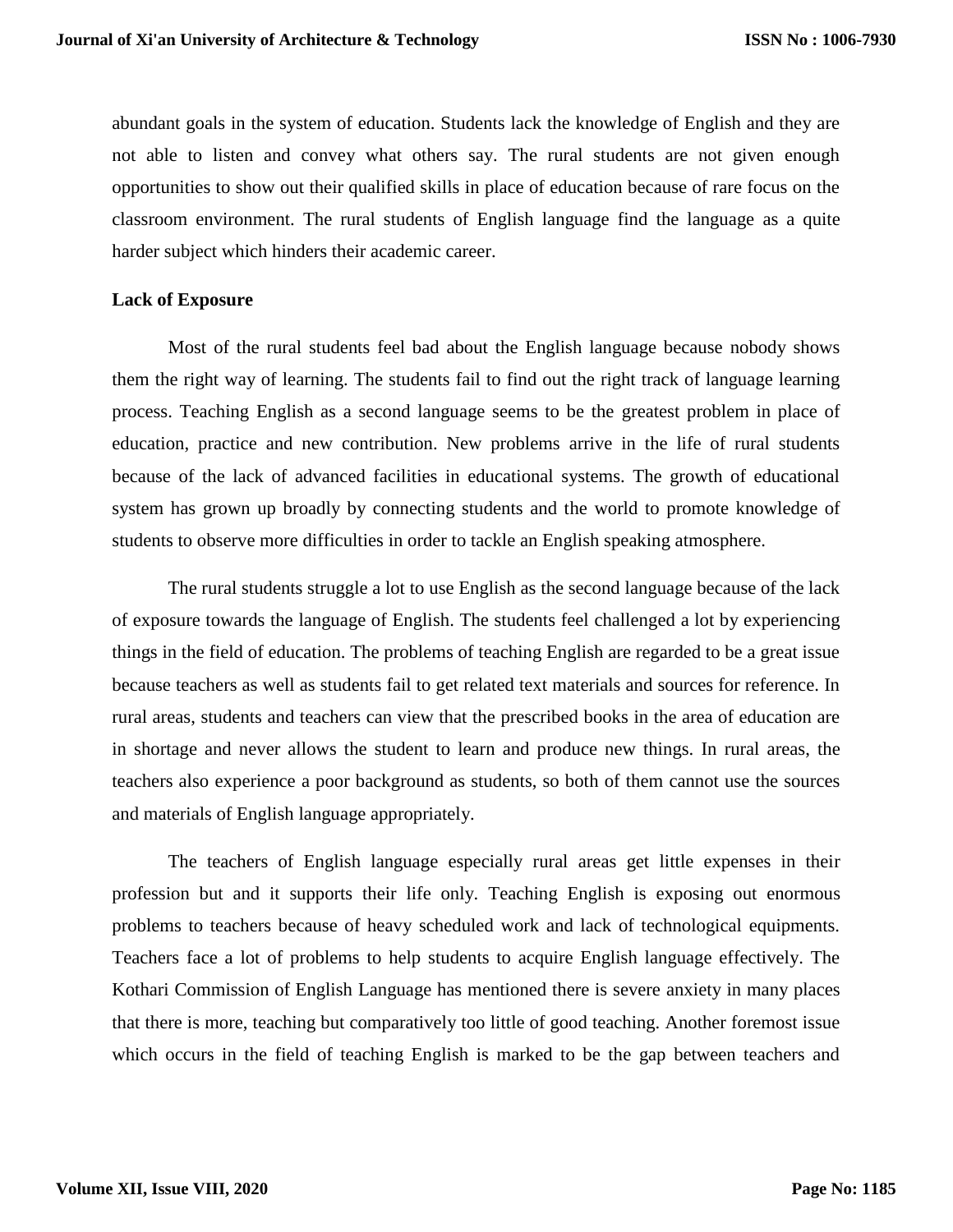abundant goals in the system of education. Students lack the knowledge of English and they are not able to listen and convey what others say. The rural students are not given enough opportunities to show out their qualified skills in place of education because of rare focus on the classroom environment. The rural students of English language find the language as a quite harder subject which hinders their academic career.

## **Lack of Exposure**

Most of the rural students feel bad about the English language because nobody shows them the right way of learning. The students fail to find out the right track of language learning process. Teaching English as a second language seems to be the greatest problem in place of education, practice and new contribution. New problems arrive in the life of rural students because of the lack of advanced facilities in educational systems. The growth of educational system has grown up broadly by connecting students and the world to promote knowledge of students to observe more difficulties in order to tackle an English speaking atmosphere.

The rural students struggle a lot to use English as the second language because of the lack of exposure towards the language of English. The students feel challenged a lot by experiencing things in the field of education. The problems of teaching English are regarded to be a great issue because teachers as well as students fail to get related text materials and sources for reference. In rural areas, students and teachers can view that the prescribed books in the area of education are in shortage and never allows the student to learn and produce new things. In rural areas, the teachers also experience a poor background as students, so both of them cannot use the sources and materials of English language appropriately.

The teachers of English language especially rural areas get little expenses in their profession but and it supports their life only. Teaching English is exposing out enormous problems to teachers because of heavy scheduled work and lack of technological equipments. Teachers face a lot of problems to help students to acquire English language effectively. The Kothari Commission of English Language has mentioned there is severe anxiety in many places that there is more, teaching but comparatively too little of good teaching. Another foremost issue which occurs in the field of teaching English is marked to be the gap between teachers and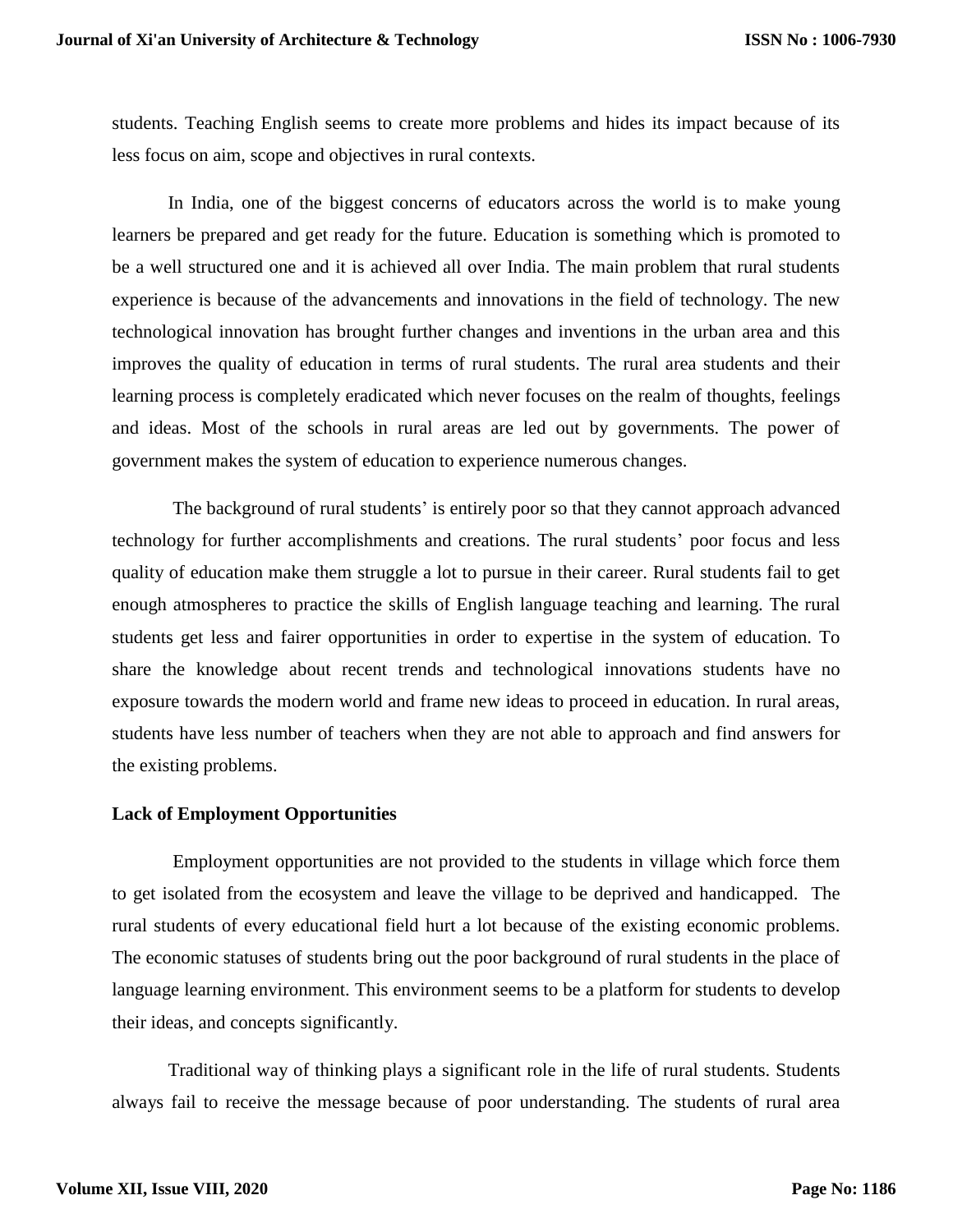students. Teaching English seems to create more problems and hides its impact because of its less focus on aim, scope and objectives in rural contexts.

In India, one of the biggest concerns of educators across the world is to make young learners be prepared and get ready for the future. Education is something which is promoted to be a well structured one and it is achieved all over India. The main problem that rural students experience is because of the advancements and innovations in the field of technology. The new technological innovation has brought further changes and inventions in the urban area and this improves the quality of education in terms of rural students. The rural area students and their learning process is completely eradicated which never focuses on the realm of thoughts, feelings and ideas. Most of the schools in rural areas are led out by governments. The power of government makes the system of education to experience numerous changes.

The background of rural students' is entirely poor so that they cannot approach advanced technology for further accomplishments and creations. The rural students' poor focus and less quality of education make them struggle a lot to pursue in their career. Rural students fail to get enough atmospheres to practice the skills of English language teaching and learning. The rural students get less and fairer opportunities in order to expertise in the system of education. To share the knowledge about recent trends and technological innovations students have no exposure towards the modern world and frame new ideas to proceed in education. In rural areas, students have less number of teachers when they are not able to approach and find answers for the existing problems.

#### **Lack of Employment Opportunities**

Employment opportunities are not provided to the students in village which force them to get isolated from the ecosystem and leave the village to be deprived and handicapped. The rural students of every educational field hurt a lot because of the existing economic problems. The economic statuses of students bring out the poor background of rural students in the place of language learning environment. This environment seems to be a platform for students to develop their ideas, and concepts significantly.

Traditional way of thinking plays a significant role in the life of rural students. Students always fail to receive the message because of poor understanding. The students of rural area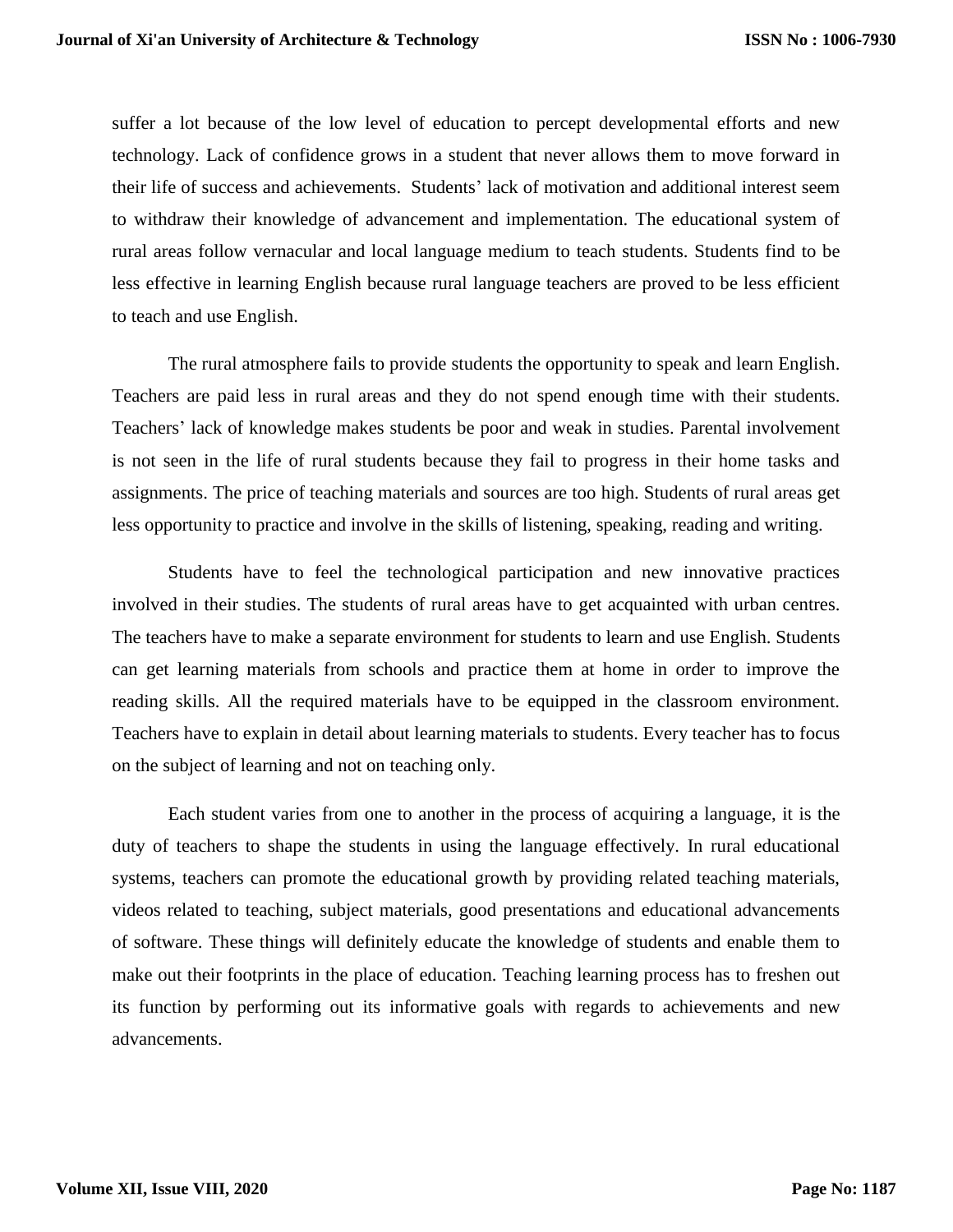suffer a lot because of the low level of education to percept developmental efforts and new technology. Lack of confidence grows in a student that never allows them to move forward in their life of success and achievements. Students' lack of motivation and additional interest seem to withdraw their knowledge of advancement and implementation. The educational system of rural areas follow vernacular and local language medium to teach students. Students find to be less effective in learning English because rural language teachers are proved to be less efficient to teach and use English.

The rural atmosphere fails to provide students the opportunity to speak and learn English. Teachers are paid less in rural areas and they do not spend enough time with their students. Teachers' lack of knowledge makes students be poor and weak in studies. Parental involvement is not seen in the life of rural students because they fail to progress in their home tasks and assignments. The price of teaching materials and sources are too high. Students of rural areas get less opportunity to practice and involve in the skills of listening, speaking, reading and writing.

Students have to feel the technological participation and new innovative practices involved in their studies. The students of rural areas have to get acquainted with urban centres. The teachers have to make a separate environment for students to learn and use English. Students can get learning materials from schools and practice them at home in order to improve the reading skills. All the required materials have to be equipped in the classroom environment. Teachers have to explain in detail about learning materials to students. Every teacher has to focus on the subject of learning and not on teaching only.

Each student varies from one to another in the process of acquiring a language, it is the duty of teachers to shape the students in using the language effectively. In rural educational systems, teachers can promote the educational growth by providing related teaching materials, videos related to teaching, subject materials, good presentations and educational advancements of software. These things will definitely educate the knowledge of students and enable them to make out their footprints in the place of education. Teaching learning process has to freshen out its function by performing out its informative goals with regards to achievements and new advancements.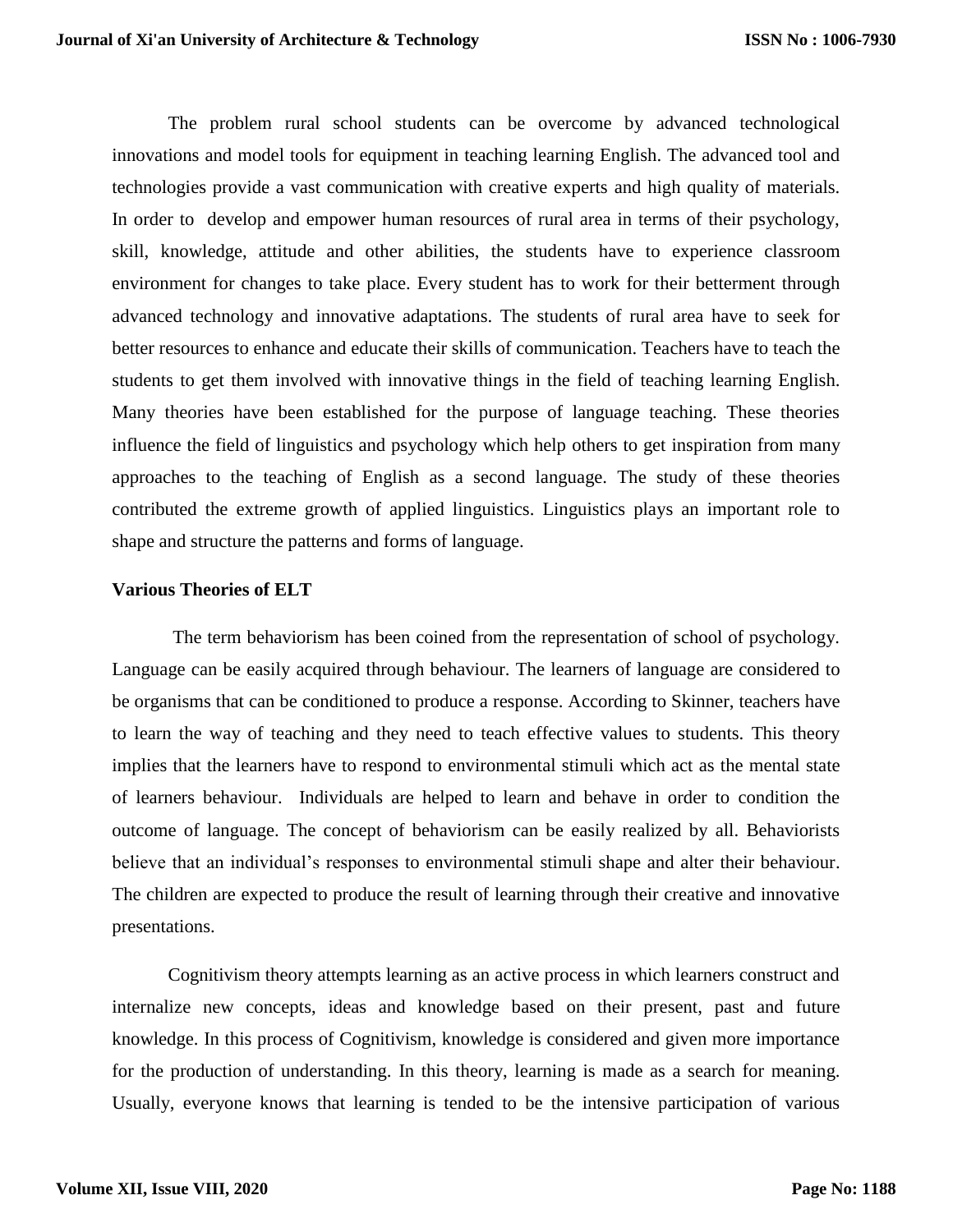The problem rural school students can be overcome by advanced technological innovations and model tools for equipment in teaching learning English. The advanced tool and technologies provide a vast communication with creative experts and high quality of materials. In order to develop and empower human resources of rural area in terms of their psychology, skill, knowledge, attitude and other abilities, the students have to experience classroom environment for changes to take place. Every student has to work for their betterment through advanced technology and innovative adaptations. The students of rural area have to seek for better resources to enhance and educate their skills of communication. Teachers have to teach the students to get them involved with innovative things in the field of teaching learning English. Many theories have been established for the purpose of language teaching. These theories influence the field of linguistics and psychology which help others to get inspiration from many approaches to the teaching of English as a second language. The study of these theories contributed the extreme growth of applied linguistics. Linguistics plays an important role to shape and structure the patterns and forms of language.

#### **Various Theories of ELT**

The term behaviorism has been coined from the representation of school of psychology. Language can be easily acquired through behaviour. The learners of language are considered to be organisms that can be conditioned to produce a response. According to Skinner, teachers have to learn the way of teaching and they need to teach effective values to students. This theory implies that the learners have to respond to environmental stimuli which act as the mental state of learners behaviour. Individuals are helped to learn and behave in order to condition the outcome of language. The concept of behaviorism can be easily realized by all. Behaviorists believe that an individual's responses to environmental stimuli shape and alter their behaviour. The children are expected to produce the result of learning through their creative and innovative presentations.

Cognitivism theory attempts learning as an active process in which learners construct and internalize new concepts, ideas and knowledge based on their present, past and future knowledge. In this process of Cognitivism, knowledge is considered and given more importance for the production of understanding. In this theory, learning is made as a search for meaning. Usually, everyone knows that learning is tended to be the intensive participation of various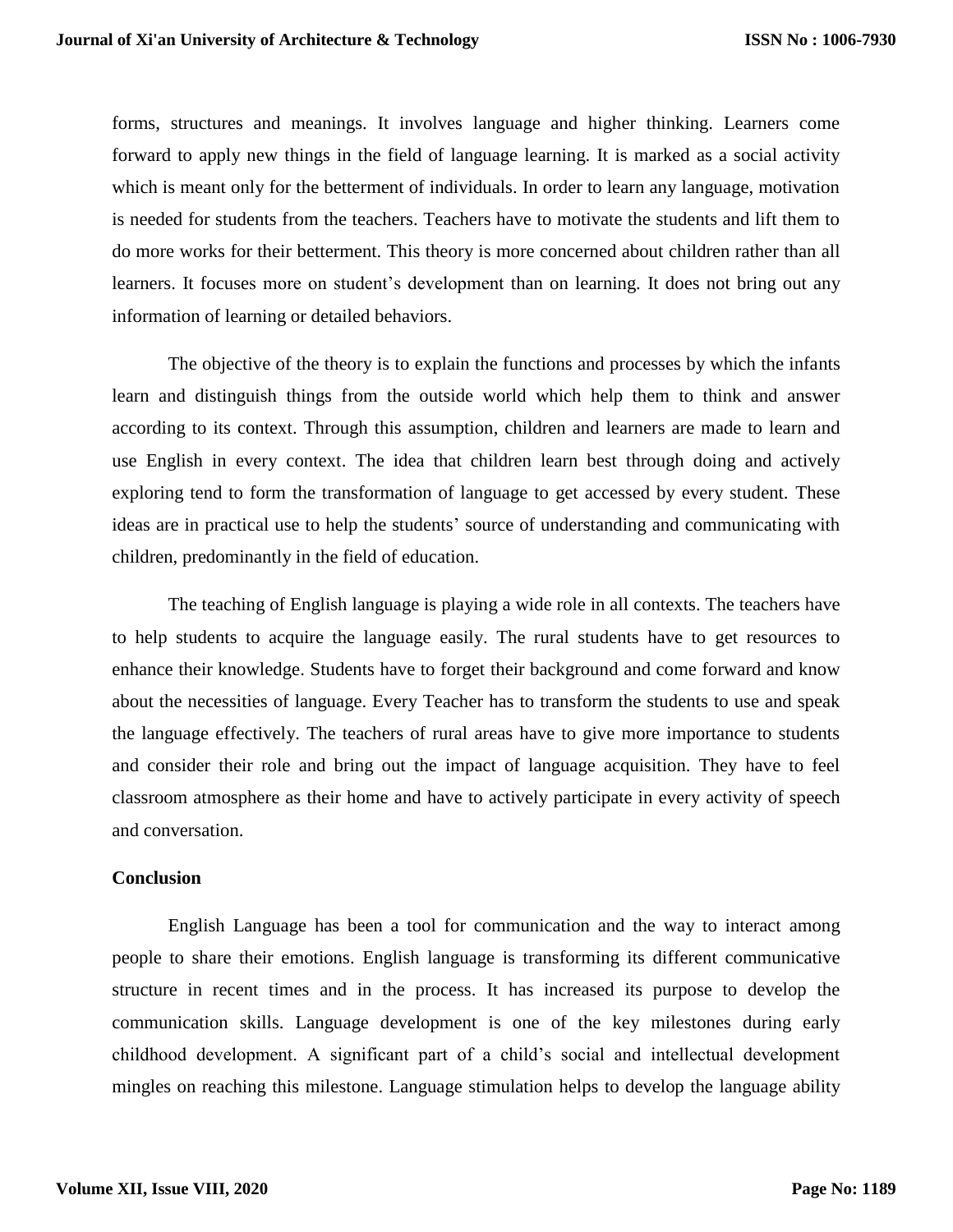forms, structures and meanings. It involves language and higher thinking. Learners come forward to apply new things in the field of language learning. It is marked as a social activity which is meant only for the betterment of individuals. In order to learn any language, motivation is needed for students from the teachers. Teachers have to motivate the students and lift them to do more works for their betterment. This theory is more concerned about children rather than all learners. It focuses more on student's development than on learning. It does not bring out any information of learning or detailed behaviors.

The objective of the theory is to explain the functions and processes by which the infants learn and distinguish things from the outside world which help them to think and answer according to its context. Through this assumption, children and learners are made to learn and use English in every context. The idea that children learn best through doing and actively exploring tend to form the transformation of language to get accessed by every student. These ideas are in practical use to help the students' source of understanding and communicating with children, predominantly in the field of education.

The teaching of English language is playing a wide role in all contexts. The teachers have to help students to acquire the language easily. The rural students have to get resources to enhance their knowledge. Students have to forget their background and come forward and know about the necessities of language. Every Teacher has to transform the students to use and speak the language effectively. The teachers of rural areas have to give more importance to students and consider their role and bring out the impact of language acquisition. They have to feel classroom atmosphere as their home and have to actively participate in every activity of speech and conversation.

#### **Conclusion**

English Language has been a tool for communication and the way to interact among people to share their emotions. English language is transforming its different communicative structure in recent times and in the process. It has increased its purpose to develop the communication skills. Language development is one of the key milestones during early childhood development. A significant part of a child's social and intellectual development mingles on reaching this milestone. Language stimulation helps to develop the language ability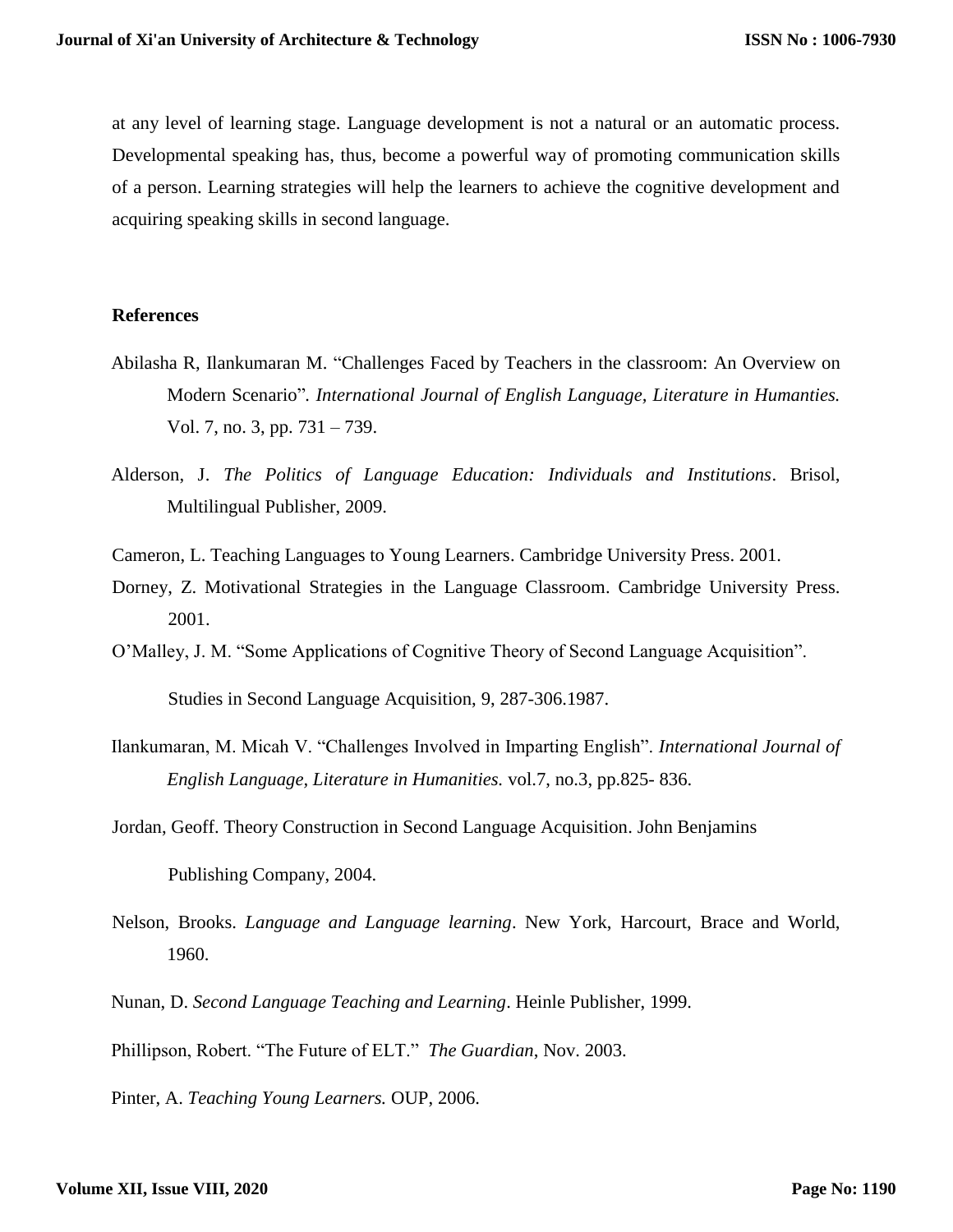at any level of learning stage. Language development is not a natural or an automatic process. Developmental speaking has, thus, become a powerful way of promoting communication skills of a person. Learning strategies will help the learners to achieve the cognitive development and acquiring speaking skills in second language.

## **References**

- Abilasha R, Ilankumaran M. "Challenges Faced by Teachers in the classroom: An Overview on Modern Scenario"*. International Journal of English Language, Literature in Humanties.* Vol. 7, no. 3, pp. 731 – 739.
- Alderson, J. *The Politics of Language Education: Individuals and Institutions*. Brisol, Multilingual Publisher, 2009.
- Cameron, L. Teaching Languages to Young Learners. Cambridge University Press. 2001.
- Dorney, Z. Motivational Strategies in the Language Classroom. Cambridge University Press. 2001.
- O'Malley, J. M. "Some Applications of Cognitive Theory of Second Language Acquisition".

Studies in Second Language Acquisition, 9, 287-306.1987.

- Ilankumaran, M. Micah V. "Challenges Involved in Imparting English". *International Journal of English Language, Literature in Humanities.* vol.7, no.3, pp.825- 836.
- Jordan, Geoff. Theory Construction in Second Language Acquisition. John Benjamins Publishing Company, 2004.
- Nelson, Brooks. *Language and Language learning*. New York, Harcourt, Brace and World, 1960.
- Nunan, D. *Second Language Teaching and Learning*. Heinle Publisher, 1999.

Phillipson, Robert. "The Future of ELT." *The Guardian*, Nov. 2003.

Pinter, A. *Teaching Young Learners.* OUP, 2006.